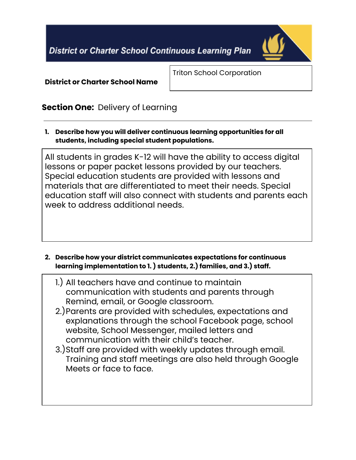**District or Charter School Continuous Learning Plan** 



**District or Charter School Name**

Triton School Corporation

# **Section One:** Delivery of Learning

**1. Describe how you will deliver continuous learning opportunities for all students, including special student populations.**

All students in grades K-12 will have the ability to access digital lessons or paper packet lessons provided by our teachers. Special education students are provided with lessons and materials that are differentiated to meet their needs. Special education staff will also connect with students and parents each week to address additional needs.

- **2. Describe how your district communicates expectations for continuous learning implementation to 1. ) students, 2.) families, and 3.) staff.**
	- 1.) All teachers have and continue to maintain communication with students and parents through Remind, email, or Google classroom.
	- 2.)Parents are provided with schedules, expectations and explanations through the school Facebook page, school website, School Messenger, mailed letters and communication with their child's teacher.
	- 3.)Staff are provided with weekly updates through email. Training and staff meetings are also held through Google Meets or face to face.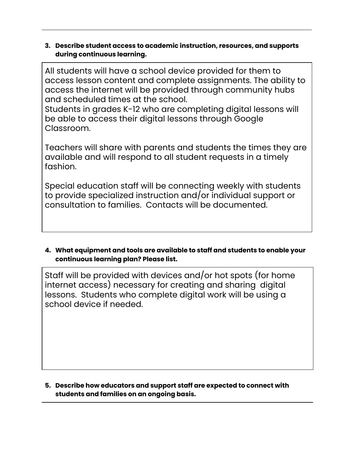#### **3. Describe student access to academic instruction, resources, and supports during continuous learning.**

All students will have a school device provided for them to access lesson content and complete assignments. The ability to access the internet will be provided through community hubs and scheduled times at the school.

Students in grades K-12 who are completing digital lessons will be able to access their digital lessons through Google Classroom.

Teachers will share with parents and students the times they are available and will respond to all student requests in a timely fashion.

Special education staff will be connecting weekly with students to provide specialized instruction and/or individual support or consultation to families. Contacts will be documented.

#### **4. What equipment and tools are available to staff and students to enable your continuous learning plan? Please list.**

Staff will be provided with devices and/or hot spots (for home internet access) necessary for creating and sharing digital lessons. Students who complete digital work will be using a school device if needed.

**5. Describe how educators and support staff are expected to connect with students and families on an ongoing basis.**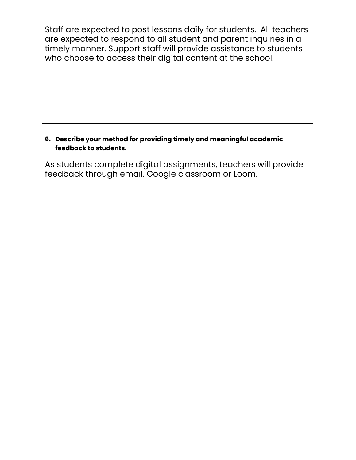Staff are expected to post lessons daily for students. All teachers are expected to respond to all student and parent inquiries in a timely manner. Support staff will provide assistance to students who choose to access their digital content at the school.

### **6. Describe your method for providing timely and meaningful academic feedback to students.**

As students complete digital assignments, teachers will provide feedback through email. Google classroom or Loom.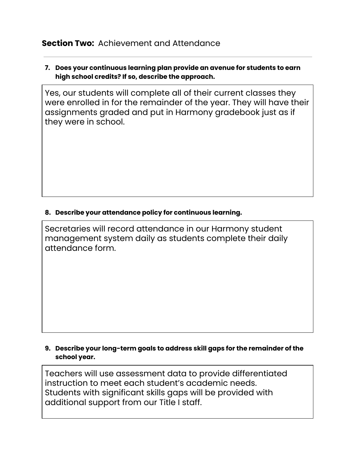## **Section Two:** Achievement and Attendance

#### **7. Does your continuous learning plan provide an avenue for students to earn high school credits? If so, describe the approach.**

Yes, our students will complete all of their current classes they were enrolled in for the remainder of the year. They will have their assignments graded and put in Harmony gradebook just as if they were in school.

#### **8. Describe your attendance policy for continuous learning.**

Secretaries will record attendance in our Harmony student management system daily as students complete their daily attendance form.

#### **9. Describe your long-term goals to address skill gaps for the remainder of the school year.**

Teachers will use assessment data to provide differentiated instruction to meet each student's academic needs. Students with significant skills gaps will be provided with additional support from our Title I staff.